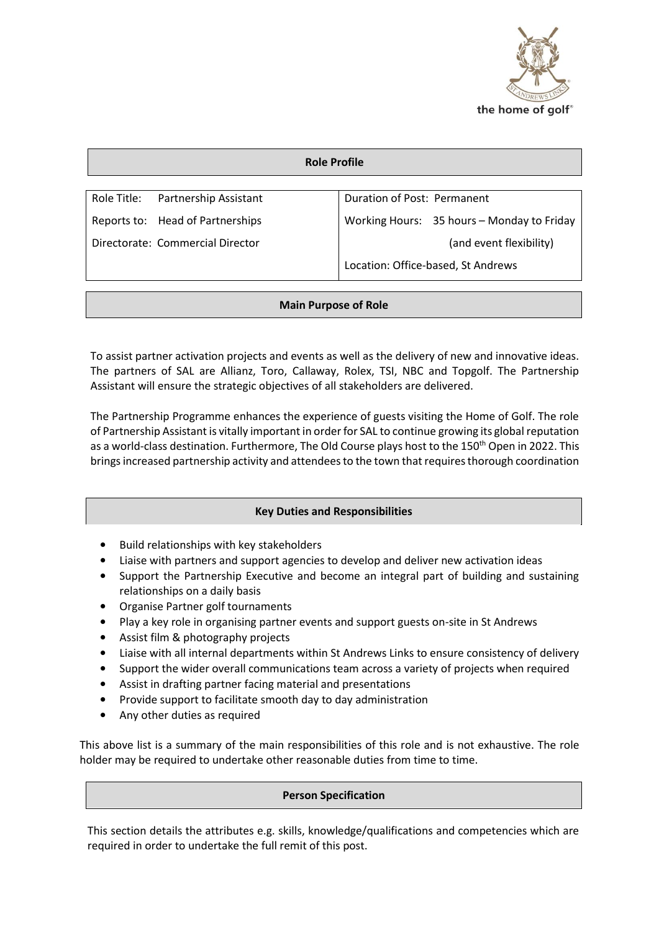

| <b>Role Profile</b>              |                                  |                                    |                                            |  |  |
|----------------------------------|----------------------------------|------------------------------------|--------------------------------------------|--|--|
|                                  |                                  |                                    |                                            |  |  |
| Role Title:                      | Partnership Assistant            | Duration of Post: Permanent        |                                            |  |  |
|                                  | Reports to: Head of Partnerships |                                    | Working Hours: 35 hours - Monday to Friday |  |  |
| Directorate: Commercial Director |                                  |                                    | (and event flexibility)                    |  |  |
|                                  |                                  | Location: Office-based, St Andrews |                                            |  |  |

# **Main Purpose of Role**

To assist partner activation projects and events as well as the delivery of new and innovative ideas. The partners of SAL are Allianz, Toro, Callaway, Rolex, TSI, NBC and Topgolf. The Partnership Assistant will ensure the strategic objectives of all stakeholders are delivered.

The Partnership Programme enhances the experience of guests visiting the Home of Golf. The role of Partnership Assistant is vitally important in order for SAL to continue growing its global reputation as a world-class destination. Furthermore, The Old Course plays host to the 150<sup>th</sup> Open in 2022. This brings increased partnership activity and attendees to the town that requires thorough coordination

# **Key Duties and Responsibilities**

- Build relationships with key stakeholders
- Liaise with partners and support agencies to develop and deliver new activation ideas
- Support the Partnership Executive and become an integral part of building and sustaining relationships on a daily basis
- Organise Partner golf tournaments
- Play a key role in organising partner events and support guests on-site in St Andrews
- Assist film & photography projects
- Liaise with all internal departments within St Andrews Links to ensure consistency of delivery
- Support the wider overall communications team across a variety of projects when required
- Assist in drafting partner facing material and presentations
- Provide support to facilitate smooth day to day administration
- Any other duties as required

This above list is a summary of the main responsibilities of this role and is not exhaustive. The role holder may be required to undertake other reasonable duties from time to time.

### **Person Specification**

This section details the attributes e.g. skills, knowledge/qualifications and competencies which are required in order to undertake the full remit of this post.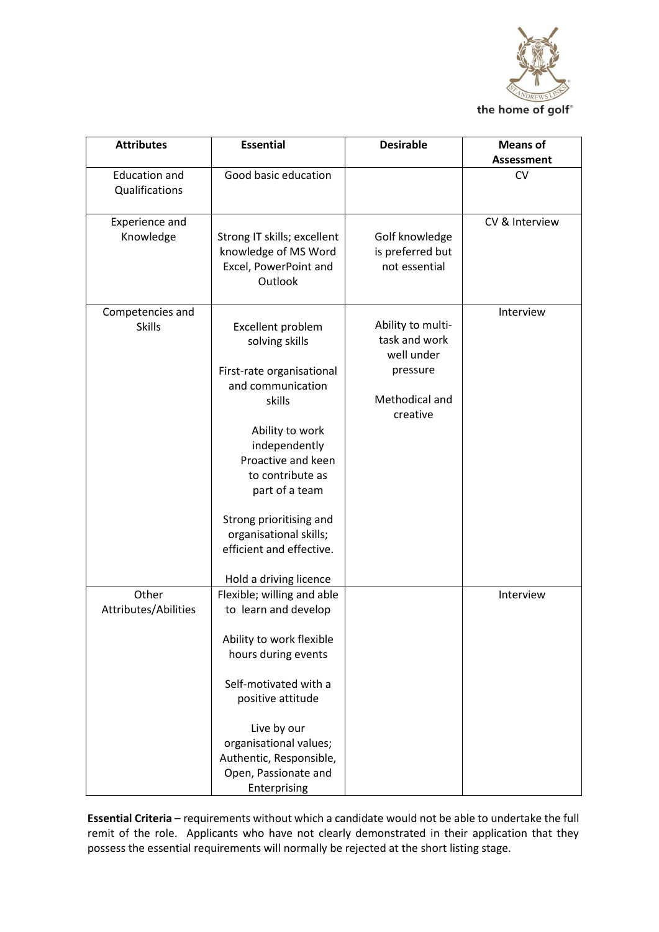

| <b>Attributes</b>    | <b>Essential</b>            | <b>Desirable</b>  | <b>Means of</b>   |
|----------------------|-----------------------------|-------------------|-------------------|
|                      |                             |                   | <b>Assessment</b> |
| <b>Education and</b> | Good basic education        |                   | <b>CV</b>         |
| Qualifications       |                             |                   |                   |
|                      |                             |                   |                   |
| Experience and       |                             |                   | CV & Interview    |
| Knowledge            | Strong IT skills; excellent | Golf knowledge    |                   |
|                      | knowledge of MS Word        | is preferred but  |                   |
|                      | Excel, PowerPoint and       | not essential     |                   |
|                      | Outlook                     |                   |                   |
| Competencies and     |                             |                   | Interview         |
| <b>Skills</b>        | Excellent problem           | Ability to multi- |                   |
|                      | solving skills              | task and work     |                   |
|                      |                             | well under        |                   |
|                      | First-rate organisational   | pressure          |                   |
|                      | and communication           |                   |                   |
|                      | skills                      | Methodical and    |                   |
|                      |                             | creative          |                   |
|                      | Ability to work             |                   |                   |
|                      | independently               |                   |                   |
|                      | Proactive and keen          |                   |                   |
|                      | to contribute as            |                   |                   |
|                      | part of a team              |                   |                   |
|                      |                             |                   |                   |
|                      | Strong prioritising and     |                   |                   |
|                      | organisational skills;      |                   |                   |
|                      | efficient and effective.    |                   |                   |
|                      | Hold a driving licence      |                   |                   |
| Other                | Flexible; willing and able  |                   | Interview         |
| Attributes/Abilities | to learn and develop        |                   |                   |
|                      |                             |                   |                   |
|                      | Ability to work flexible    |                   |                   |
|                      | hours during events         |                   |                   |
|                      |                             |                   |                   |
|                      | Self-motivated with a       |                   |                   |
|                      | positive attitude           |                   |                   |
|                      | Live by our                 |                   |                   |
|                      | organisational values;      |                   |                   |
|                      | Authentic, Responsible,     |                   |                   |
|                      | Open, Passionate and        |                   |                   |
|                      | Enterprising                |                   |                   |

**Essential Criteria** – requirements without which a candidate would not be able to undertake the full remit of the role. Applicants who have not clearly demonstrated in their application that they possess the essential requirements will normally be rejected at the short listing stage.